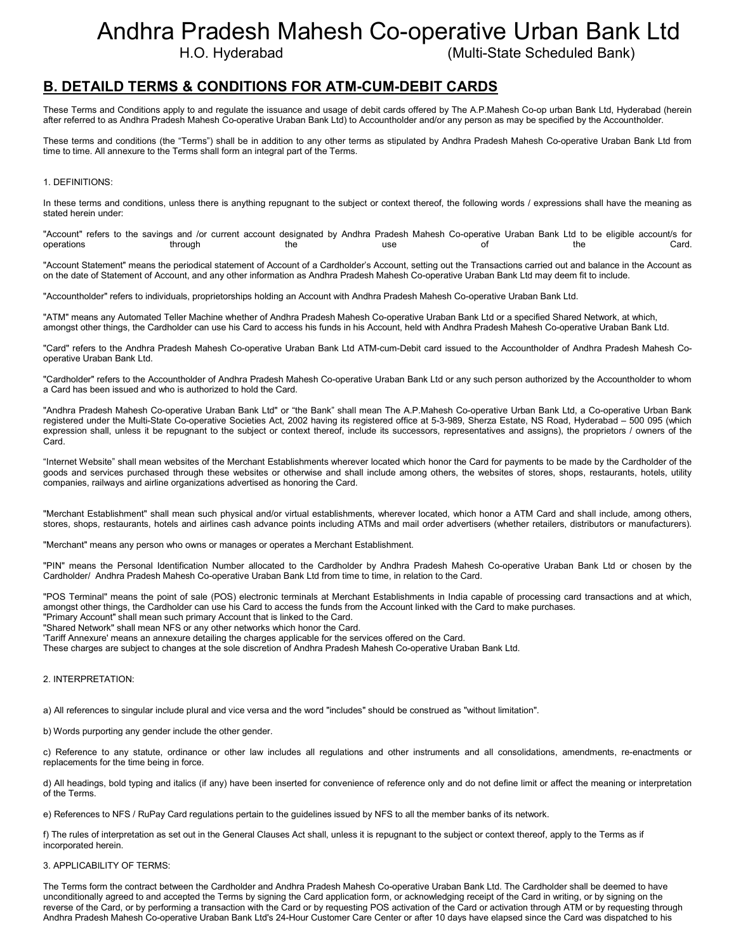# Andhra Pradesh Mahesh Co-operative Urban Bank Ltd

H.O. Hyderabad (Multi-State Scheduled Bank)

# B. DETAILD TERMS & CONDITIONS FOR ATM-CUM-DEBIT CARDS

These Terms and Conditions apply to and regulate the issuance and usage of debit cards offered by The A.P.Mahesh Co-op urban Bank Ltd, Hyderabad (herein after referred to as Andhra Pradesh Mahesh Co-operative Uraban Bank Ltd) to Accountholder and/or any person as may be specified by the Accountholder.

These terms and conditions (the "Terms") shall be in addition to any other terms as stipulated by Andhra Pradesh Mahesh Co-operative Uraban Bank Ltd from time to time. All annexure to the Terms shall form an integral part of the Terms.

# 1. DEFINITIONS:

In these terms and conditions, unless there is anything repugnant to the subject or context thereof, the following words / expressions shall have the meaning as stated herein under:

"Account" refers to the savings and /or current account designated by Andhra Pradesh Mahesh Co-operative Uraban Bank Ltd to be eligible account/s for operations through the use of the Card.

"Account Statement" means the periodical statement of Account of a Cardholder's Account, setting out the Transactions carried out and balance in the Account as on the date of Statement of Account, and any other information as Andhra Pradesh Mahesh Co-operative Uraban Bank Ltd may deem fit to include.

"Accountholder" refers to individuals, proprietorships holding an Account with Andhra Pradesh Mahesh Co-operative Uraban Bank Ltd.

"ATM" means any Automated Teller Machine whether of Andhra Pradesh Mahesh Co-operative Uraban Bank Ltd or a specified Shared Network, at which, amongst other things, the Cardholder can use his Card to access his funds in his Account, held with Andhra Pradesh Mahesh Co-operative Uraban Bank Ltd.

"Card" refers to the Andhra Pradesh Mahesh Co-operative Uraban Bank Ltd ATM-cum-Debit card issued to the Accountholder of Andhra Pradesh Mahesh Cooperative Uraban Bank Ltd.

"Cardholder" refers to the Accountholder of Andhra Pradesh Mahesh Co-operative Uraban Bank Ltd or any such person authorized by the Accountholder to whom a Card has been issued and who is authorized to hold the Card.

"Andhra Pradesh Mahesh Co-operative Uraban Bank Ltd" or "the Bank" shall mean The A.P.Mahesh Co-operative Urban Bank Ltd, a Co-operative Urban Bank registered under the Multi-State Co-operative Societies Act, 2002 having its registered office at 5-3-989, Sherza Estate, NS Road, Hyderabad – 500 095 (which expression shall, unless it be repugnant to the subject or context thereof, include its successors, representatives and assigns), the proprietors / owners of the Card.

"Internet Website" shall mean websites of the Merchant Establishments wherever located which honor the Card for payments to be made by the Cardholder of the goods and services purchased through these websites or otherwise and shall include among others, the websites of stores, shops, restaurants, hotels, utility companies, railways and airline organizations advertised as honoring the Card.

"Merchant Establishment" shall mean such physical and/or virtual establishments, wherever located, which honor a ATM Card and shall include, among others, stores, shops, restaurants, hotels and airlines cash advance points including ATMs and mail order advertisers (whether retailers, distributors or manufacturers).

"Merchant" means any person who owns or manages or operates a Merchant Establishment.

"PIN" means the Personal Identification Number allocated to the Cardholder by Andhra Pradesh Mahesh Co-operative Uraban Bank Ltd or chosen by the Cardholder/ Andhra Pradesh Mahesh Co-operative Uraban Bank Ltd from time to time, in relation to the Card.

"POS Terminal" means the point of sale (POS) electronic terminals at Merchant Establishments in India capable of processing card transactions and at which, amongst other things, the Cardholder can use his Card to access the funds from the Account linked with the Card to make purchases.

"Primary Account" shall mean such primary Account that is linked to the Card.

"Shared Network" shall mean NFS or any other networks which honor the Card.

'Tariff Annexure' means an annexure detailing the charges applicable for the services offered on the Card.

These charges are subject to changes at the sole discretion of Andhra Pradesh Mahesh Co-operative Uraban Bank Ltd.

# 2. INTERPRETATION:

a) All references to singular include plural and vice versa and the word "includes" should be construed as "without limitation".

b) Words purporting any gender include the other gender.

c) Reference to any statute, ordinance or other law includes all regulations and other instruments and all consolidations, amendments, re-enactments or replacements for the time being in force.

d) All headings, bold typing and italics (if any) have been inserted for convenience of reference only and do not define limit or affect the meaning or interpretation of the Terms.

e) References to NFS / RuPay Card regulations pertain to the guidelines issued by NFS to all the member banks of its network.

f) The rules of interpretation as set out in the General Clauses Act shall, unless it is repugnant to the subject or context thereof, apply to the Terms as if incorporated herein.

# 3. APPLICABILITY OF TERMS:

The Terms form the contract between the Cardholder and Andhra Pradesh Mahesh Co-operative Uraban Bank Ltd. The Cardholder shall be deemed to have unconditionally agreed to and accepted the Terms by signing the Card application form, or acknowledging receipt of the Card in writing, or by signing on the reverse of the Card, or by performing a transaction with the Card or by requesting POS activation of the Card or activation through ATM or by requesting through Andhra Pradesh Mahesh Co-operative Uraban Bank Ltd's 24-Hour Customer Care Center or after 10 days have elapsed since the Card was dispatched to his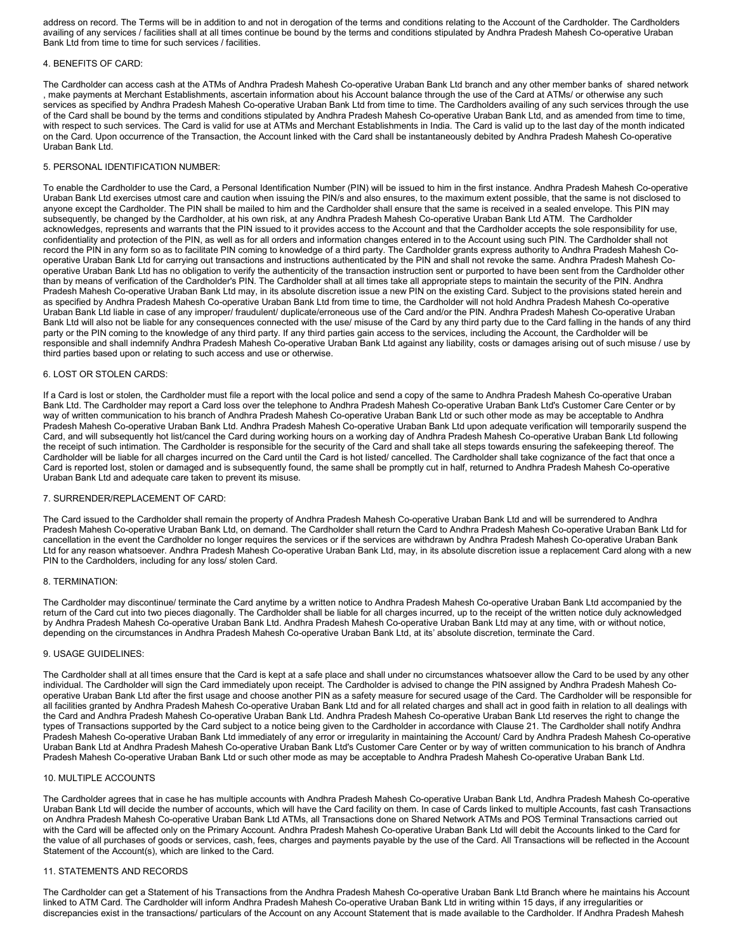address on record. The Terms will be in addition to and not in derogation of the terms and conditions relating to the Account of the Cardholder. The Cardholders availing of any services / facilities shall at all times continue be bound by the terms and conditions stipulated by Andhra Pradesh Mahesh Co-operative Uraban Bank Ltd from time to time for such services / facilities.

#### 4. BENEFITS OF CARD:

The Cardholder can access cash at the ATMs of Andhra Pradesh Mahesh Co-operative Uraban Bank Ltd branch and any other member banks of shared network , make payments at Merchant Establishments, ascertain information about his Account balance through the use of the Card at ATMs/ or otherwise any such services as specified by Andhra Pradesh Mahesh Co-operative Uraban Bank Ltd from time to time. The Cardholders availing of any such services through the use of the Card shall be bound by the terms and conditions stipulated by Andhra Pradesh Mahesh Co-operative Uraban Bank Ltd, and as amended from time to time, with respect to such services. The Card is valid for use at ATMs and Merchant Establishments in India. The Card is valid up to the last day of the month indicated on the Card. Upon occurrence of the Transaction, the Account linked with the Card shall be instantaneously debited by Andhra Pradesh Mahesh Co-operative Uraban Bank Ltd.

#### 5. PERSONAL IDENTIFICATION NUMBER:

To enable the Cardholder to use the Card, a Personal Identification Number (PIN) will be issued to him in the first instance. Andhra Pradesh Mahesh Co-operative Uraban Bank Ltd exercises utmost care and caution when issuing the PIN/s and also ensures, to the maximum extent possible, that the same is not disclosed to anyone except the Cardholder. The PIN shall be mailed to him and the Cardholder shall ensure that the same is received in a sealed envelope. This PIN may subsequently, be changed by the Cardholder, at his own risk, at any Andhra Pradesh Mahesh Co-operative Uraban Bank Ltd ATM. The Cardholder acknowledges, represents and warrants that the PIN issued to it provides access to the Account and that the Cardholder accepts the sole responsibility for use, confidentiality and protection of the PIN, as well as for all orders and information changes entered in to the Account using such PIN. The Cardholder shall not record the PIN in any form so as to facilitate PIN coming to knowledge of a third party. The Cardholder grants express authority to Andhra Pradesh Mahesh Cooperative Uraban Bank Ltd for carrying out transactions and instructions authenticated by the PIN and shall not revoke the same. Andhra Pradesh Mahesh Cooperative Uraban Bank Ltd has no obligation to verify the authenticity of the transaction instruction sent or purported to have been sent from the Cardholder other than by means of verification of the Cardholder's PIN. The Cardholder shall at all times take all appropriate steps to maintain the security of the PIN. Andhra Pradesh Mahesh Co-operative Uraban Bank Ltd may, in its absolute discretion issue a new PIN on the existing Card. Subject to the provisions stated herein and as specified by Andhra Pradesh Mahesh Co-operative Uraban Bank Ltd from time to time, the Cardholder will not hold Andhra Pradesh Mahesh Co-operative Uraban Bank Ltd liable in case of any improper/ fraudulent/ duplicate/erroneous use of the Card and/or the PIN. Andhra Pradesh Mahesh Co-operative Uraban Bank Ltd will also not be liable for any consequences connected with the use/ misuse of the Card by any third party due to the Card falling in the hands of any third party or the PIN coming to the knowledge of any third party. If any third parties gain access to the services, including the Account, the Cardholder will be responsible and shall indemnify Andhra Pradesh Mahesh Co-operative Uraban Bank Ltd against any liability, costs or damages arising out of such misuse / use by third parties based upon or relating to such access and use or otherwise.

#### 6. LOST OR STOLEN CARDS:

If a Card is lost or stolen, the Cardholder must file a report with the local police and send a copy of the same to Andhra Pradesh Mahesh Co-operative Uraban Bank Ltd. The Cardholder may report a Card loss over the telephone to Andhra Pradesh Mahesh Co-operative Uraban Bank Ltd's Customer Care Center or by way of written communication to his branch of Andhra Pradesh Mahesh Co-operative Uraban Bank Ltd or such other mode as may be acceptable to Andhra Pradesh Mahesh Co-operative Uraban Bank Ltd. Andhra Pradesh Mahesh Co-operative Uraban Bank Ltd upon adequate verification will temporarily suspend the Card, and will subsequently hot list/cancel the Card during working hours on a working day of Andhra Pradesh Mahesh Co-operative Uraban Bank Ltd following the receipt of such intimation. The Cardholder is responsible for the security of the Card and shall take all steps towards ensuring the safekeeping thereof. The Cardholder will be liable for all charges incurred on the Card until the Card is hot listed/ cancelled. The Cardholder shall take cognizance of the fact that once a Card is reported lost, stolen or damaged and is subsequently found, the same shall be promptly cut in half, returned to Andhra Pradesh Mahesh Co-operative Uraban Bank Ltd and adequate care taken to prevent its misuse.

#### 7. SURRENDER/REPLACEMENT OF CARD:

The Card issued to the Cardholder shall remain the property of Andhra Pradesh Mahesh Co-operative Uraban Bank Ltd and will be surrendered to Andhra Pradesh Mahesh Co-operative Uraban Bank Ltd, on demand. The Cardholder shall return the Card to Andhra Pradesh Mahesh Co-operative Uraban Bank Ltd for cancellation in the event the Cardholder no longer requires the services or if the services are withdrawn by Andhra Pradesh Mahesh Co-operative Uraban Bank Ltd for any reason whatsoever. Andhra Pradesh Mahesh Co-operative Uraban Bank Ltd, may, in its absolute discretion issue a replacement Card along with a new PIN to the Cardholders, including for any loss/ stolen Card.

#### 8. TERMINATION:

The Cardholder may discontinue/ terminate the Card anytime by a written notice to Andhra Pradesh Mahesh Co-operative Uraban Bank Ltd accompanied by the return of the Card cut into two pieces diagonally. The Cardholder shall be liable for all charges incurred, up to the receipt of the written notice duly acknowledged by Andhra Pradesh Mahesh Co-operative Uraban Bank Ltd. Andhra Pradesh Mahesh Co-operative Uraban Bank Ltd may at any time, with or without notice, depending on the circumstances in Andhra Pradesh Mahesh Co-operative Uraban Bank Ltd, at its' absolute discretion, terminate the Card.

#### 9. USAGE GUIDELINES:

The Cardholder shall at all times ensure that the Card is kept at a safe place and shall under no circumstances whatsoever allow the Card to be used by any other individual. The Cardholder will sign the Card immediately upon receipt. The Cardholder is advised to change the PIN assigned by Andhra Pradesh Mahesh Cooperative Uraban Bank Ltd after the first usage and choose another PIN as a safety measure for secured usage of the Card. The Cardholder will be responsible for all facilities granted by Andhra Pradesh Mahesh Co-operative Uraban Bank Ltd and for all related charges and shall act in good faith in relation to all dealings with the Card and Andhra Pradesh Mahesh Co-operative Uraban Bank Ltd. Andhra Pradesh Mahesh Co-operative Uraban Bank Ltd reserves the right to change the types of Transactions supported by the Card subject to a notice being given to the Cardholder in accordance with Clause 21. The Cardholder shall notify Andhra Pradesh Mahesh Co-operative Uraban Bank Ltd immediately of any error or irregularity in maintaining the Account/ Card by Andhra Pradesh Mahesh Co-operative Uraban Bank Ltd at Andhra Pradesh Mahesh Co-operative Uraban Bank Ltd's Customer Care Center or by way of written communication to his branch of Andhra Pradesh Mahesh Co-operative Uraban Bank Ltd or such other mode as may be acceptable to Andhra Pradesh Mahesh Co-operative Uraban Bank Ltd.

#### 10. MULTIPLE ACCOUNTS

The Cardholder agrees that in case he has multiple accounts with Andhra Pradesh Mahesh Co-operative Uraban Bank Ltd, Andhra Pradesh Mahesh Co-operative Uraban Bank Ltd will decide the number of accounts, which will have the Card facility on them. In case of Cards linked to multiple Accounts, fast cash Transactions on Andhra Pradesh Mahesh Co-operative Uraban Bank Ltd ATMs, all Transactions done on Shared Network ATMs and POS Terminal Transactions carried out with the Card will be affected only on the Primary Account. Andhra Pradesh Mahesh Co-operative Uraban Bank Ltd will debit the Accounts linked to the Card for the value of all purchases of goods or services, cash, fees, charges and payments payable by the use of the Card. All Transactions will be reflected in the Account Statement of the Account(s), which are linked to the Card.

# 11. STATEMENTS AND RECORDS

The Cardholder can get a Statement of his Transactions from the Andhra Pradesh Mahesh Co-operative Uraban Bank Ltd Branch where he maintains his Account linked to ATM Card. The Cardholder will inform Andhra Pradesh Mahesh Co-operative Uraban Bank Ltd in writing within 15 days, if any irregularities or discrepancies exist in the transactions/ particulars of the Account on any Account Statement that is made available to the Cardholder. If Andhra Pradesh Mahesh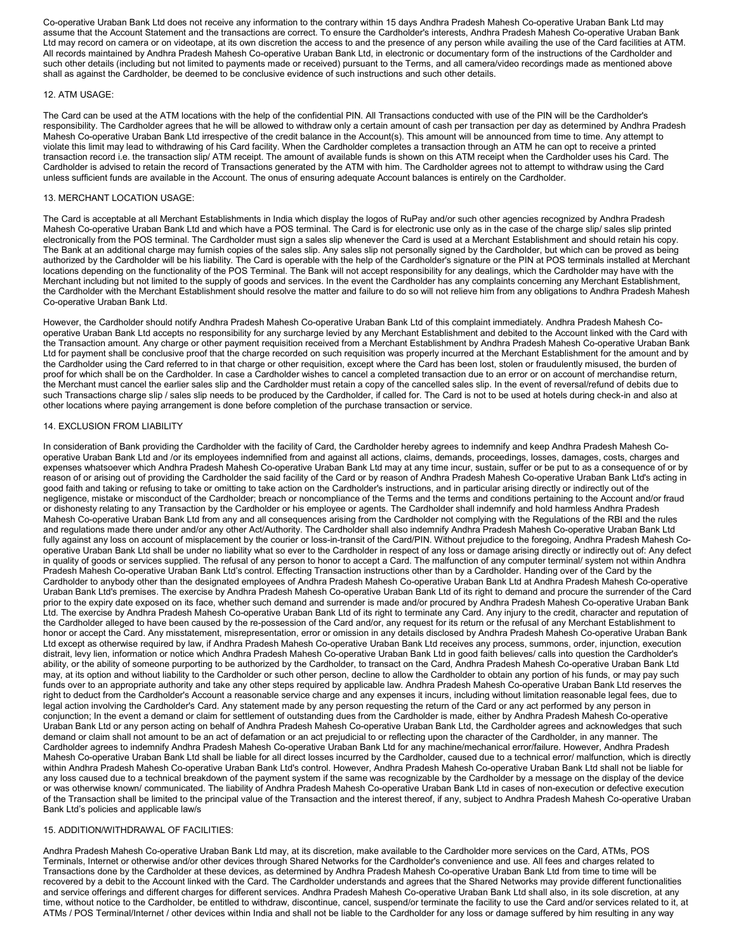Co-operative Uraban Bank Ltd does not receive any information to the contrary within 15 days Andhra Pradesh Mahesh Co-operative Uraban Bank Ltd may assume that the Account Statement and the transactions are correct. To ensure the Cardholder's interests, Andhra Pradesh Mahesh Co-operative Uraban Bank Ltd may record on camera or on videotape, at its own discretion the access to and the presence of any person while availing the use of the Card facilities at ATM. All records maintained by Andhra Pradesh Mahesh Co-operative Uraban Bank Ltd, in electronic or documentary form of the instructions of the Cardholder and such other details (including but not limited to payments made or received) pursuant to the Terms, and all camera/video recordings made as mentioned above shall as against the Cardholder, be deemed to be conclusive evidence of such instructions and such other details.

# 12. ATM USAGE:

The Card can be used at the ATM locations with the help of the confidential PIN. All Transactions conducted with use of the PIN will be the Cardholder's responsibility. The Cardholder agrees that he will be allowed to withdraw only a certain amount of cash per transaction per day as determined by Andhra Pradesh Mahesh Co-operative Uraban Bank Ltd irrespective of the credit balance in the Account(s). This amount will be announced from time to time. Any attempt to violate this limit may lead to withdrawing of his Card facility. When the Cardholder completes a transaction through an ATM he can opt to receive a printed transaction record i.e. the transaction slip/ ATM receipt. The amount of available funds is shown on this ATM receipt when the Cardholder uses his Card. The Cardholder is advised to retain the record of Transactions generated by the ATM with him. The Cardholder agrees not to attempt to withdraw using the Card unless sufficient funds are available in the Account. The onus of ensuring adequate Account balances is entirely on the Cardholder.

# 13. MERCHANT LOCATION USAGE:

The Card is acceptable at all Merchant Establishments in India which display the logos of RuPay and/or such other agencies recognized by Andhra Pradesh Mahesh Co-operative Uraban Bank Ltd and which have a POS terminal. The Card is for electronic use only as in the case of the charge slip/ sales slip printed electronically from the POS terminal. The Cardholder must sign a sales slip whenever the Card is used at a Merchant Establishment and should retain his copy. The Bank at an additional charge may furnish copies of the sales slip. Any sales slip not personally signed by the Cardholder, but which can be proved as being authorized by the Cardholder will be his liability. The Card is operable with the help of the Cardholder's signature or the PIN at POS terminals installed at Merchant locations depending on the functionality of the POS Terminal. The Bank will not accept responsibility for any dealings, which the Cardholder may have with the Merchant including but not limited to the supply of goods and services. In the event the Cardholder has any complaints concerning any Merchant Establishment, the Cardholder with the Merchant Establishment should resolve the matter and failure to do so will not relieve him from any obligations to Andhra Pradesh Mahesh Co-operative Uraban Bank Ltd.

However, the Cardholder should notify Andhra Pradesh Mahesh Co-operative Uraban Bank Ltd of this complaint immediately. Andhra Pradesh Mahesh Cooperative Uraban Bank Ltd accepts no responsibility for any surcharge levied by any Merchant Establishment and debited to the Account linked with the Card with the Transaction amount. Any charge or other payment requisition received from a Merchant Establishment by Andhra Pradesh Mahesh Co-operative Uraban Bank Ltd for payment shall be conclusive proof that the charge recorded on such requisition was properly incurred at the Merchant Establishment for the amount and by the Cardholder using the Card referred to in that charge or other requisition, except where the Card has been lost, stolen or fraudulently misused, the burden of proof for which shall be on the Cardholder. In case a Cardholder wishes to cancel a completed transaction due to an error or on account of merchandise return, the Merchant must cancel the earlier sales slip and the Cardholder must retain a copy of the cancelled sales slip. In the event of reversal/refund of debits due to such Transactions charge slip / sales slip needs to be produced by the Cardholder, if called for. The Card is not to be used at hotels during check-in and also at other locations where paying arrangement is done before completion of the purchase transaction or service.

# 14. EXCLUSION FROM LIABILITY

In consideration of Bank providing the Cardholder with the facility of Card, the Cardholder hereby agrees to indemnify and keep Andhra Pradesh Mahesh Cooperative Uraban Bank Ltd and /or its employees indemnified from and against all actions, claims, demands, proceedings, losses, damages, costs, charges and expenses whatsoever which Andhra Pradesh Mahesh Co-operative Uraban Bank Ltd may at any time incur, sustain, suffer or be put to as a consequence of or by reason of or arising out of providing the Cardholder the said facility of the Card or by reason of Andhra Pradesh Mahesh Co-operative Uraban Bank Ltd's acting in good faith and taking or refusing to take or omitting to take action on the Cardholder's instructions, and in particular arising directly or indirectly out of the negligence, mistake or misconduct of the Cardholder; breach or noncompliance of the Terms and the terms and conditions pertaining to the Account and/or fraud or dishonesty relating to any Transaction by the Cardholder or his employee or agents. The Cardholder shall indemnify and hold harmless Andhra Pradesh Mahesh Co-operative Uraban Bank Ltd from any and all consequences arising from the Cardholder not complying with the Regulations of the RBI and the rules and regulations made there under and/or any other Act/Authority. The Cardholder shall also indemnify Andhra Pradesh Mahesh Co-operative Uraban Bank Ltd fully against any loss on account of misplacement by the courier or loss-in-transit of the Card/PIN. Without prejudice to the foregoing, Andhra Pradesh Mahesh Cooperative Uraban Bank Ltd shall be under no liability what so ever to the Cardholder in respect of any loss or damage arising directly or indirectly out of: Any defect in quality of goods or services supplied. The refusal of any person to honor to accept a Card. The malfunction of any computer terminal/ system not within Andhra Pradesh Mahesh Co-operative Uraban Bank Ltd's control. Effecting Transaction instructions other than by a Cardholder. Handing over of the Card by the Cardholder to anybody other than the designated employees of Andhra Pradesh Mahesh Co-operative Uraban Bank Ltd at Andhra Pradesh Mahesh Co-operative Uraban Bank Ltd's premises. The exercise by Andhra Pradesh Mahesh Co-operative Uraban Bank Ltd of its right to demand and procure the surrender of the Card prior to the expiry date exposed on its face, whether such demand and surrender is made and/or procured by Andhra Pradesh Mahesh Co-operative Uraban Bank Ltd. The exercise by Andhra Pradesh Mahesh Co-operative Uraban Bank Ltd of its right to terminate any Card. Any injury to the credit, character and reputation of the Cardholder alleged to have been caused by the re-possession of the Card and/or, any request for its return or the refusal of any Merchant Establishment to honor or accept the Card. Any misstatement, misrepresentation, error or omission in any details disclosed by Andhra Pradesh Mahesh Co-operative Uraban Bank Ltd except as otherwise required by law, if Andhra Pradesh Mahesh Co-operative Uraban Bank Ltd receives any process, summons, order, injunction, execution distrait, levy lien, information or notice which Andhra Pradesh Mahesh Co-operative Uraban Bank Ltd in good faith believes/ calls into question the Cardholder's ability, or the ability of someone purporting to be authorized by the Cardholder, to transact on the Card, Andhra Pradesh Mahesh Co-operative Uraban Bank Ltd may, at its option and without liability to the Cardholder or such other person, decline to allow the Cardholder to obtain any portion of his funds, or may pay such funds over to an appropriate authority and take any other steps required by applicable law. Andhra Pradesh Mahesh Co-operative Uraban Bank Ltd reserves the right to deduct from the Cardholder's Account a reasonable service charge and any expenses it incurs, including without limitation reasonable legal fees, due to legal action involving the Cardholder's Card. Any statement made by any person requesting the return of the Card or any act performed by any person in conjunction; In the event a demand or claim for settlement of outstanding dues from the Cardholder is made, either by Andhra Pradesh Mahesh Co-operative Uraban Bank Ltd or any person acting on behalf of Andhra Pradesh Mahesh Co-operative Uraban Bank Ltd, the Cardholder agrees and acknowledges that such demand or claim shall not amount to be an act of defamation or an act prejudicial to or reflecting upon the character of the Cardholder, in any manner. The Cardholder agrees to indemnify Andhra Pradesh Mahesh Co-operative Uraban Bank Ltd for any machine/mechanical error/failure. However, Andhra Pradesh Mahesh Co-operative Uraban Bank Ltd shall be liable for all direct losses incurred by the Cardholder, caused due to a technical error/ malfunction, which is directly within Andhra Pradesh Mahesh Co-operative Uraban Bank Ltd's control. However, Andhra Pradesh Mahesh Co-operative Uraban Bank Ltd shall not be liable for any loss caused due to a technical breakdown of the payment system if the same was recognizable by the Cardholder by a message on the display of the device or was otherwise known/ communicated. The liability of Andhra Pradesh Mahesh Co-operative Uraban Bank Ltd in cases of non-execution or defective execution of the Transaction shall be limited to the principal value of the Transaction and the interest thereof, if any, subject to Andhra Pradesh Mahesh Co-operative Uraban Bank Ltd's policies and applicable law/s

# 15. ADDITION/WITHDRAWAL OF FACILITIES:

Andhra Pradesh Mahesh Co-operative Uraban Bank Ltd may, at its discretion, make available to the Cardholder more services on the Card, ATMs, POS Terminals, Internet or otherwise and/or other devices through Shared Networks for the Cardholder's convenience and use. All fees and charges related to Transactions done by the Cardholder at these devices, as determined by Andhra Pradesh Mahesh Co-operative Uraban Bank Ltd from time to time will be recovered by a debit to the Account linked with the Card. The Cardholder understands and agrees that the Shared Networks may provide different functionalities and service offerings and different charges for different services. Andhra Pradesh Mahesh Co-operative Uraban Bank Ltd shall also, in its sole discretion, at any time, without notice to the Cardholder, be entitled to withdraw, discontinue, cancel, suspend/or terminate the facility to use the Card and/or services related to it, at ATMs / POS Terminal/Internet / other devices within India and shall not be liable to the Cardholder for any loss or damage suffered by him resulting in any way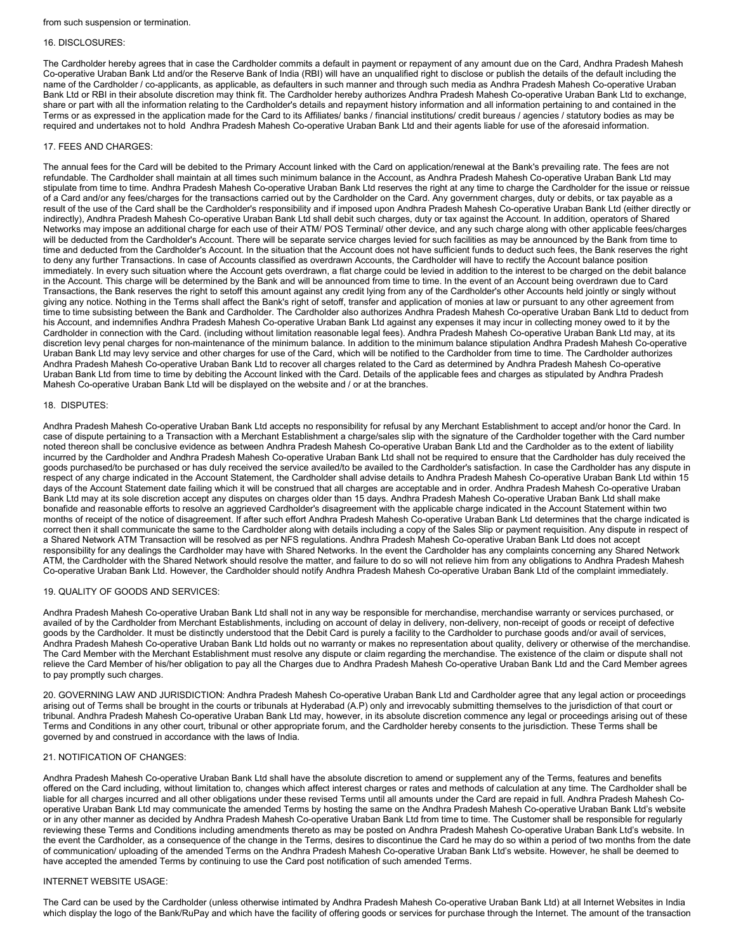from such suspension or termination.

#### 16. DISCLOSURES:

The Cardholder hereby agrees that in case the Cardholder commits a default in payment or repayment of any amount due on the Card, Andhra Pradesh Mahesh Co-operative Uraban Bank Ltd and/or the Reserve Bank of India (RBI) will have an unqualified right to disclose or publish the details of the default including the name of the Cardholder / co-applicants, as applicable, as defaulters in such manner and through such media as Andhra Pradesh Mahesh Co-operative Uraban Bank Ltd or RBI in their absolute discretion may think fit. The Cardholder hereby authorizes Andhra Pradesh Mahesh Co-operative Uraban Bank Ltd to exchange, share or part with all the information relating to the Cardholder's details and repayment history information and all information pertaining to and contained in the Terms or as expressed in the application made for the Card to its Affiliates/ banks / financial institutions/ credit bureaus / agencies / statutory bodies as may be required and undertakes not to hold Andhra Pradesh Mahesh Co-operative Uraban Bank Ltd and their agents liable for use of the aforesaid information.

#### 17. FEES AND CHARGES:

The annual fees for the Card will be debited to the Primary Account linked with the Card on application/renewal at the Bank's prevailing rate. The fees are not refundable. The Cardholder shall maintain at all times such minimum balance in the Account, as Andhra Pradesh Mahesh Co-operative Uraban Bank Ltd may stipulate from time to time. Andhra Pradesh Mahesh Co-operative Uraban Bank Ltd reserves the right at any time to charge the Cardholder for the issue or reissue of a Card and/or any fees/charges for the transactions carried out by the Cardholder on the Card. Any government charges, duty or debits, or tax payable as a result of the use of the Card shall be the Cardholder's responsibility and if imposed upon Andhra Pradesh Mahesh Co-operative Uraban Bank Ltd (either directly or indirectly), Andhra Pradesh Mahesh Co-operative Uraban Bank Ltd shall debit such charges, duty or tax against the Account. In addition, operators of Shared Networks may impose an additional charge for each use of their ATM/ POS Terminal/ other device, and any such charge along with other applicable fees/charges will be deducted from the Cardholder's Account. There will be separate service charges levied for such facilities as may be announced by the Bank from time to time and deducted from the Cardholder's Account. In the situation that the Account does not have sufficient funds to deduct such fees, the Bank reserves the right to deny any further Transactions. In case of Accounts classified as overdrawn Accounts, the Cardholder will have to rectify the Account balance position immediately. In every such situation where the Account gets overdrawn, a flat charge could be levied in addition to the interest to be charged on the debit balance in the Account. This charge will be determined by the Bank and will be announced from time to time. In the event of an Account being overdrawn due to Card Transactions, the Bank reserves the right to setoff this amount against any credit lying from any of the Cardholder's other Accounts held jointly or singly without giving any notice. Nothing in the Terms shall affect the Bank's right of setoff, transfer and application of monies at law or pursuant to any other agreement from time to time subsisting between the Bank and Cardholder. The Cardholder also authorizes Andhra Pradesh Mahesh Co-operative Uraban Bank Ltd to deduct from his Account, and indemnifies Andhra Pradesh Mahesh Co-operative Uraban Bank Ltd against any expenses it may incur in collecting money owed to it by the Cardholder in connection with the Card. (including without limitation reasonable legal fees). Andhra Pradesh Mahesh Co-operative Uraban Bank Ltd may, at its discretion levy penal charges for non-maintenance of the minimum balance. In addition to the minimum balance stipulation Andhra Pradesh Mahesh Co-operative Uraban Bank Ltd may levy service and other charges for use of the Card, which will be notified to the Cardholder from time to time. The Cardholder authorizes Andhra Pradesh Mahesh Co-operative Uraban Bank Ltd to recover all charges related to the Card as determined by Andhra Pradesh Mahesh Co-operative Uraban Bank Ltd from time to time by debiting the Account linked with the Card. Details of the applicable fees and charges as stipulated by Andhra Pradesh Mahesh Co-operative Uraban Bank Ltd will be displayed on the website and / or at the branches.

#### 18. DISPUTES:

Andhra Pradesh Mahesh Co-operative Uraban Bank Ltd accepts no responsibility for refusal by any Merchant Establishment to accept and/or honor the Card. In case of dispute pertaining to a Transaction with a Merchant Establishment a charge/sales slip with the signature of the Cardholder together with the Card number noted thereon shall be conclusive evidence as between Andhra Pradesh Mahesh Co-operative Uraban Bank Ltd and the Cardholder as to the extent of liability incurred by the Cardholder and Andhra Pradesh Mahesh Co-operative Uraban Bank Ltd shall not be required to ensure that the Cardholder has duly received the goods purchased/to be purchased or has duly received the service availed/to be availed to the Cardholder's satisfaction. In case the Cardholder has any dispute in respect of any charge indicated in the Account Statement, the Cardholder shall advise details to Andhra Pradesh Mahesh Co-operative Uraban Bank Ltd within 15 days of the Account Statement date failing which it will be construed that all charges are acceptable and in order. Andhra Pradesh Mahesh Co-operative Uraban Bank Ltd may at its sole discretion accept any disputes on charges older than 15 days. Andhra Pradesh Mahesh Co-operative Uraban Bank Ltd shall make bonafide and reasonable efforts to resolve an aggrieved Cardholder's disagreement with the applicable charge indicated in the Account Statement within two months of receipt of the notice of disagreement. If after such effort Andhra Pradesh Mahesh Co-operative Uraban Bank Ltd determines that the charge indicated is correct then it shall communicate the same to the Cardholder along with details including a copy of the Sales Slip or payment requisition. Any dispute in respect of a Shared Network ATM Transaction will be resolved as per NFS regulations. Andhra Pradesh Mahesh Co-operative Uraban Bank Ltd does not accept responsibility for any dealings the Cardholder may have with Shared Networks. In the event the Cardholder has any complaints concerning any Shared Network ATM, the Cardholder with the Shared Network should resolve the matter, and failure to do so will not relieve him from any obligations to Andhra Pradesh Mahesh Co-operative Uraban Bank Ltd. However, the Cardholder should notify Andhra Pradesh Mahesh Co-operative Uraban Bank Ltd of the complaint immediately.

#### 19. QUALITY OF GOODS AND SERVICES:

Andhra Pradesh Mahesh Co-operative Uraban Bank Ltd shall not in any way be responsible for merchandise, merchandise warranty or services purchased, or availed of by the Cardholder from Merchant Establishments, including on account of delay in delivery, non-delivery, non-receipt of goods or receipt of defective goods by the Cardholder. It must be distinctly understood that the Debit Card is purely a facility to the Cardholder to purchase goods and/or avail of services, Andhra Pradesh Mahesh Co-operative Uraban Bank Ltd holds out no warranty or makes no representation about quality, delivery or otherwise of the merchandise. The Card Member with the Merchant Establishment must resolve any dispute or claim regarding the merchandise. The existence of the claim or dispute shall not relieve the Card Member of his/her obligation to pay all the Charges due to Andhra Pradesh Mahesh Co-operative Uraban Bank Ltd and the Card Member agrees to pay promptly such charges.

20. GOVERNING LAW AND JURISDICTION: Andhra Pradesh Mahesh Co-operative Uraban Bank Ltd and Cardholder agree that any legal action or proceedings arising out of Terms shall be brought in the courts or tribunals at Hyderabad (A.P) only and irrevocably submitting themselves to the jurisdiction of that court or tribunal. Andhra Pradesh Mahesh Co-operative Uraban Bank Ltd may, however, in its absolute discretion commence any legal or proceedings arising out of these Terms and Conditions in any other court, tribunal or other appropriate forum, and the Cardholder hereby consents to the jurisdiction. These Terms shall be governed by and construed in accordance with the laws of India.

# 21. NOTIFICATION OF CHANGES:

Andhra Pradesh Mahesh Co-operative Uraban Bank Ltd shall have the absolute discretion to amend or supplement any of the Terms, features and benefits offered on the Card including, without limitation to, changes which affect interest charges or rates and methods of calculation at any time. The Cardholder shall be liable for all charges incurred and all other obligations under these revised Terms until all amounts under the Card are repaid in full. Andhra Pradesh Mahesh Cooperative Uraban Bank Ltd may communicate the amended Terms by hosting the same on the Andhra Pradesh Mahesh Co-operative Uraban Bank Ltd's website or in any other manner as decided by Andhra Pradesh Mahesh Co-operative Uraban Bank Ltd from time to time. The Customer shall be responsible for regularly reviewing these Terms and Conditions including amendments thereto as may be posted on Andhra Pradesh Mahesh Co-operative Uraban Bank Ltd's website. In the event the Cardholder, as a consequence of the change in the Terms, desires to discontinue the Card he may do so within a period of two months from the date of communication/ uploading of the amended Terms on the Andhra Pradesh Mahesh Co-operative Uraban Bank Ltd's website. However, he shall be deemed to have accepted the amended Terms by continuing to use the Card post notification of such amended Terms.

#### INTERNET WEBSITE USAGE:

The Card can be used by the Cardholder (unless otherwise intimated by Andhra Pradesh Mahesh Co-operative Uraban Bank Ltd) at all Internet Websites in India which display the logo of the Bank/RuPay and which have the facility of offering goods or services for purchase through the Internet. The amount of the transaction